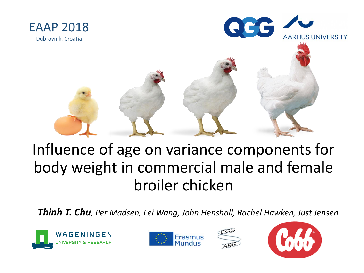



## Influence of age on variance components for body weight in commercial male and female broiler chicken

*Thinh T. Chu, Per Madsen, Lei Wang, John Henshall, Rachel Hawken, Just Jensen*







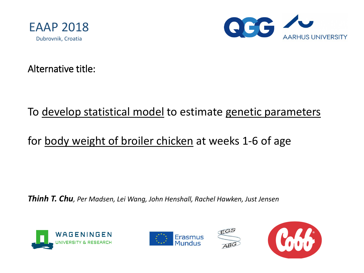



Alternative title:

#### To develop statistical model to estimate genetic parameters

#### for body weight of broiler chicken at weeks 1-6 of age

*Thinh T. Chu, Per Madsen, Lei Wang, John Henshall, Rachel Hawken, Just Jensen*







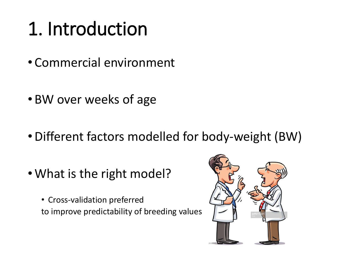# 1. Introduction

- Commercial environment
- BW over weeks of age
- •Different factors modelled for body-weight (BW)
- What is the right model?
	- Cross-validation preferred to improve predictability of breeding values

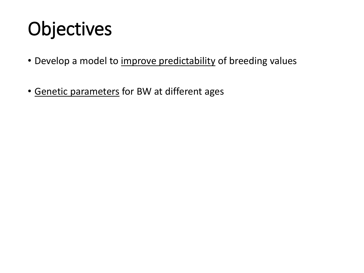# Objectives

- Develop a model to improve predictability of breeding values
- Genetic parameters for BW at different ages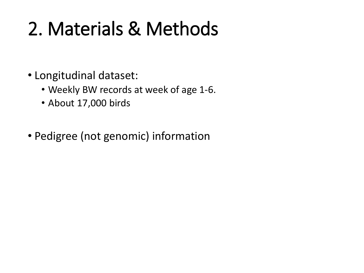# 2. Materials & Methods

- Longitudinal dataset:
	- Weekly BW records at week of age 1-6.
	- About 17,000 birds
- Pedigree (not genomic) information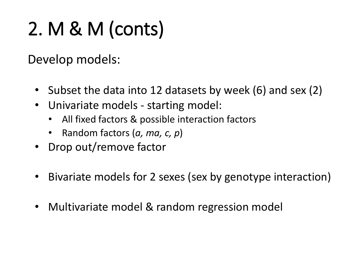# 2. M & M (conts)

Develop models:

- Subset the data into 12 datasets by week (6) and sex (2)
- Univariate models starting model:
	- All fixed factors & possible interaction factors
	- Random factors (*a, ma, c, p*)
- Drop out/remove factor
- Bivariate models for 2 sexes (sex by genotype interaction)
- Multivariate model & random regression model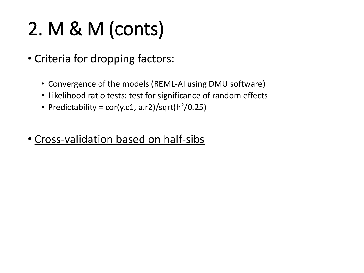# 2. M & M (conts)

- Criteria for dropping factors:
	- Convergence of the models (REML-AI using DMU software)
	- Likelihood ratio tests: test for significance of random effects
	- Predictability =  $cor(y.c1, a.r2)/sqrt(h^2/0.25)$
- Cross-validation based on half-sibs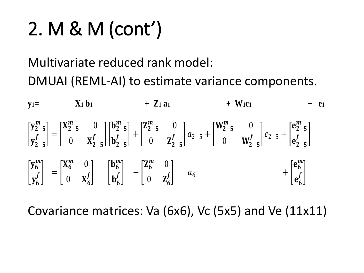# 2. M & M (cont')

## Multivariate reduced rank model: DMUAI (REML-AI) to estimate variance components.

**y**<sub>1</sub> =  $\bf{X}_1 \bf{b}_1$  +  $\bf{Z}_1 \bf{a}_1$  +  $\bf{W}_1 \bf{c}_1$  +  $\bf{e}_1$ I  $y_{2-5}^m$  $y'_{2-5}$  $\left|f\right| =$  $X_{2-5}^m$  0 0  $X'_{2-5}$  $f \quad |$  $\mathbf{b}_{2-5}^m$  $b'_{2-5}$  $\bar{f}$  | + |  $\mathbf{Z}_{2-5}^m$  0 0  $Z'_{2-5}$  $f \mid a_{2-5} + |$  $W_{2-5}^m$  0 0  $W'_{2-5}$  $f \mid c_{2-5} + \mid$  $e_{2-5}^m$  $e'_{2-5}$  $\bar{f}$ I  $y_6^m$  $y'_{6}$  $\left|f\right| =$  $X_6^m$  0  $0 X'_6$  $\int$  $\mathbf{b}_6^m$  $b'_6$  $\left| \begin{array}{c} \cdot \\ \cdot \end{array} \right|$  $\mathbf{Z}_6^m$  0  $0\quad Z'_6$  $f \vert$   $a_6$  $+$   $|$  $e_6^m$  $e'_{6}$  $\int f$ 

Covariance matrices: Va (6x6), Vc (5x5) and Ve (11x11)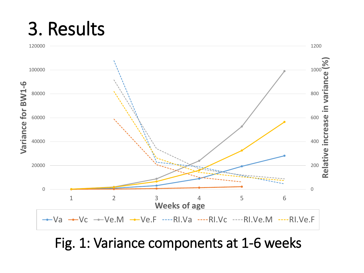## 3. Results



### Fig. 1: Variance components at 1-6 weeks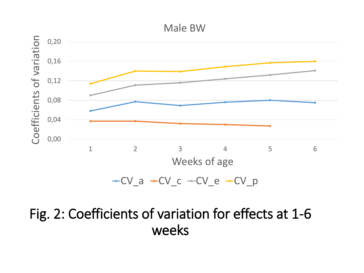#### Male BW



### Fig. 2: Coefficients of variation for effects at 1-6 weeks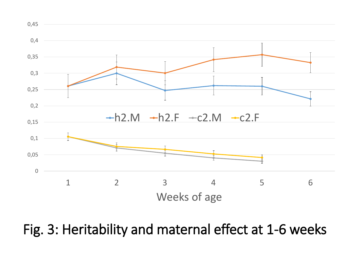

Fig. 3: Heritability and maternal effect at 1-6 weeks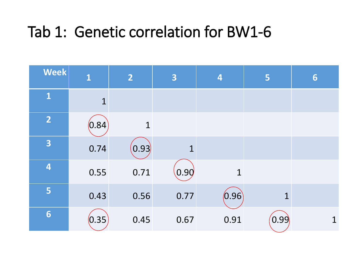## Tab 1: Genetic correlation for BW1-6

| <b>Week</b>             | $\mathbf{1}$ | $\overline{2}$ | 3           | 4           | 5           | 6           |
|-------------------------|--------------|----------------|-------------|-------------|-------------|-------------|
| $\mathbf{1}$            | $\mathbf{1}$ |                |             |             |             |             |
| $\overline{2}$          | (0.84)       | $\mathbf 1$    |             |             |             |             |
| 3                       | 0.74         | (0.93)         | $\mathbf 1$ |             |             |             |
| $\overline{\mathbf{4}}$ | 0.55         | 0.71           | 0.90        | $\mathbf 1$ |             |             |
| 5                       | 0.43         | 0.56           | 0.77        | (0.96)      | $\mathbf 1$ |             |
| 6                       | (0.35)       | 0.45           | 0.67        | 0.91        | (0.99)      | $\mathbf 1$ |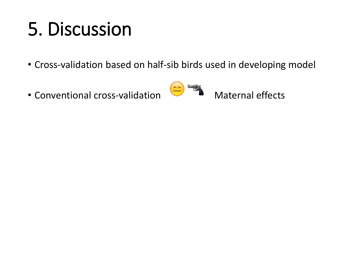# 5. Discussion

- Cross-validation based on half-sib birds used in developing model
- Conventional cross-validation  $\overline{\phantom{a}}$  Maternal effects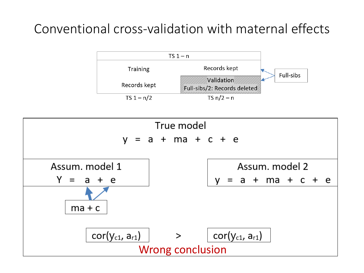### Conventional cross-validation with maternal effects



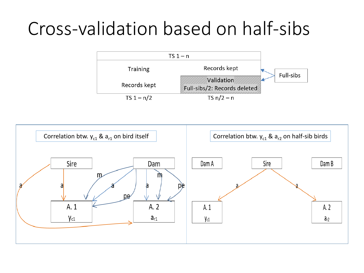## Cross-validation based on half-sibs



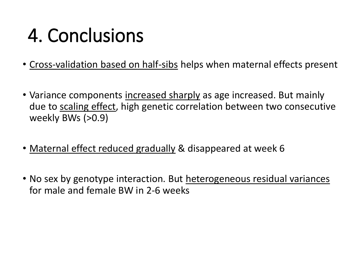# 4. Conclusions

- Cross-validation based on half-sibs helps when maternal effects present
- Variance components increased sharply as age increased. But mainly due to scaling effect, high genetic correlation between two consecutive weekly BWs (>0.9)
- Maternal effect reduced gradually & disappeared at week 6
- No sex by genotype interaction. But heterogeneous residual variances for male and female BW in 2-6 weeks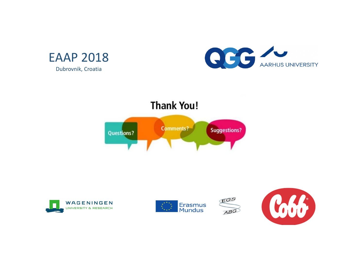









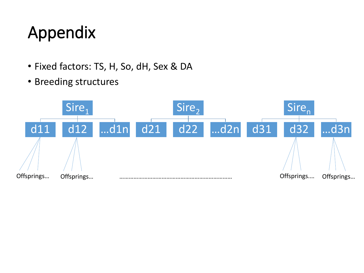## Appendix

- Fixed factors: TS, H, So, dH, Sex & DA
- Breeding structures

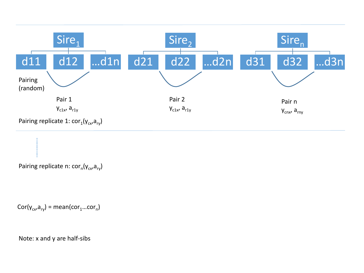

Pairing replicate n: cor<sub>n</sub>(y<sub>cx</sub>,a<sub>ry</sub>)

 $Cor(y_{cx}, a_{ry}) = mean(cor_1...cor_n)$ 

Note: x and y are half-sibs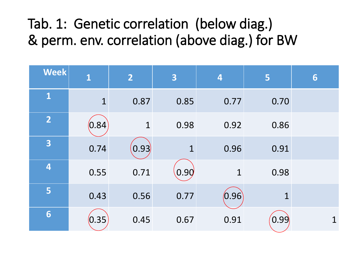## Tab. 1: Genetic correlation (below diag.) & perm. env. correlation (above diag.) for BW

| <b>Week</b>    | $\mathbf{1}$ | $\overline{2}$ | 3    | 4           | 5            | 6           |
|----------------|--------------|----------------|------|-------------|--------------|-------------|
| $\mathbf{1}$   | $\mathbf{1}$ | 0.87           | 0.85 | 0.77        | 0.70         |             |
| $\overline{2}$ | (0.84)       | $\mathbf{1}$   | 0.98 | 0.92        | 0.86         |             |
| 3              | 0.74         | (0.93)         | 1    | 0.96        | 0.91         |             |
| 4              | 0.55         | 0.71           | 0.90 | $\mathbf 1$ | 0.98         |             |
| 5              | 0.43         | 0.56           | 0.77 | (0.96)      | $\mathbf{1}$ |             |
| 6              | (0.35)       | 0.45           | 0.67 | 0.91        | 0.99         | $\mathbf 1$ |